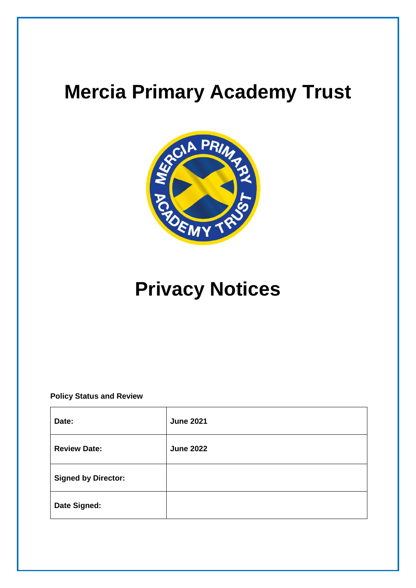# **Mercia Primary Academy Trust**



# **Privacy Notices**

**Policy Status and Review**

| Date:                      | <b>June 2021</b> |
|----------------------------|------------------|
| <b>Review Date:</b>        | <b>June 2022</b> |
| <b>Signed by Director:</b> |                  |
| Date Signed:               |                  |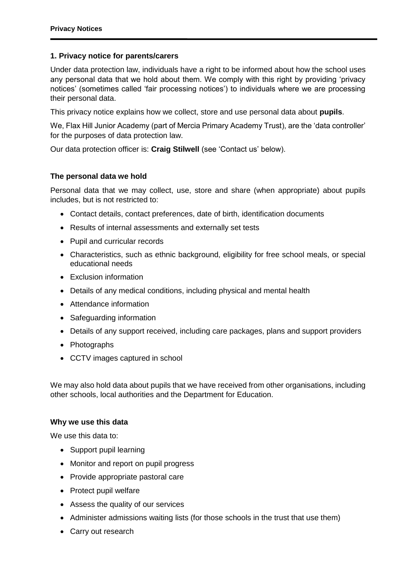#### **1. Privacy notice for parents/carers**

Under data protection law, individuals have a right to be informed about how the school uses any personal data that we hold about them. We comply with this right by providing 'privacy notices' (sometimes called 'fair processing notices') to individuals where we are processing their personal data.

This privacy notice explains how we collect, store and use personal data about **pupils**.

We, Flax Hill Junior Academy (part of Mercia Primary Academy Trust), are the 'data controller' for the purposes of data protection law.

Our data protection officer is: **Craig Stilwell** (see 'Contact us' below).

#### **The personal data we hold**

Personal data that we may collect, use, store and share (when appropriate) about pupils includes, but is not restricted to:

- Contact details, contact preferences, date of birth, identification documents
- Results of internal assessments and externally set tests
- Pupil and curricular records
- Characteristics, such as ethnic background, eligibility for free school meals, or special educational needs
- Exclusion information
- Details of any medical conditions, including physical and mental health
- Attendance information
- Safeguarding information
- Details of any support received, including care packages, plans and support providers
- Photographs
- CCTV images captured in school

We may also hold data about pupils that we have received from other organisations, including other schools, local authorities and the Department for Education.

#### **Why we use this data**

We use this data to:

- Support pupil learning
- Monitor and report on pupil progress
- Provide appropriate pastoral care
- Protect pupil welfare
- Assess the quality of our services
- Administer admissions waiting lists (for those schools in the trust that use them)
- Carry out research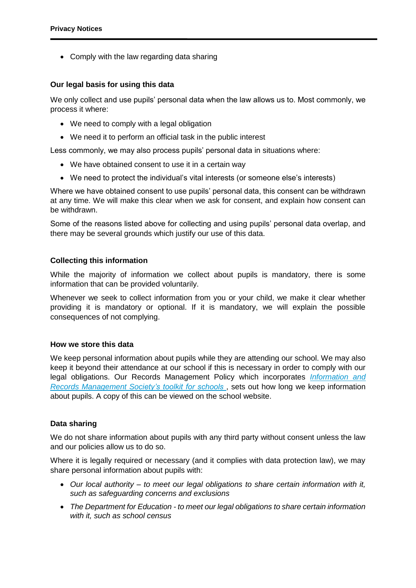• Comply with the law regarding data sharing

## **Our legal basis for using this data**

We only collect and use pupils' personal data when the law allows us to. Most commonly, we process it where:

- We need to comply with a legal obligation
- We need it to perform an official task in the public interest

Less commonly, we may also process pupils' personal data in situations where:

- We have obtained consent to use it in a certain way
- We need to protect the individual's vital interests (or someone else's interests)

Where we have obtained consent to use pupils' personal data, this consent can be withdrawn at any time. We will make this clear when we ask for consent, and explain how consent can be withdrawn.

Some of the reasons listed above for collecting and using pupils' personal data overlap, and there may be several grounds which justify our use of this data.

# **Collecting this information**

While the majority of information we collect about pupils is mandatory, there is some information that can be provided voluntarily.

Whenever we seek to collect information from you or your child, we make it clear whether providing it is mandatory or optional. If it is mandatory, we will explain the possible consequences of not complying.

## **How we store this data**

We keep personal information about pupils while they are attending our school. We may also keep it beyond their attendance at our school if this is necessary in order to comply with our legal obligations. Our Records Management Policy which incorporates *[Information and](http://irms.org.uk/?page=schoolstoolkit&terms=%22toolkit+and+schools%22)  [Records Management Society's toolkit for schools](http://irms.org.uk/?page=schoolstoolkit&terms=%22toolkit+and+schools%22)* , sets out how long we keep information about pupils. A copy of this can be viewed on the school website.

## **Data sharing**

We do not share information about pupils with any third party without consent unless the law and our policies allow us to do so.

Where it is legally required or necessary (and it complies with data protection law), we may share personal information about pupils with:

- *Our local authority – to meet our legal obligations to share certain information with it, such as safeguarding concerns and exclusions*
- *The Department for Education - to meet our legal obligations to share certain information with it, such as school census*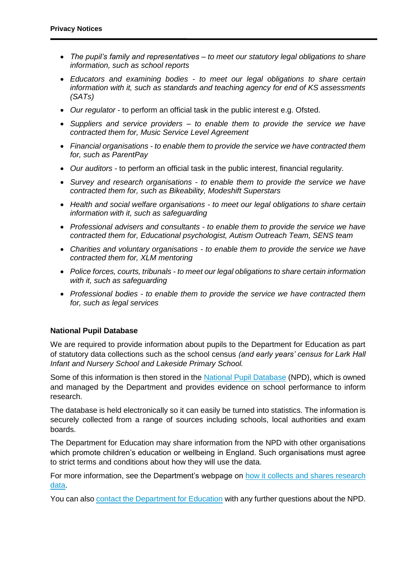- *The pupil's family and representatives – to meet our statutory legal obligations to share information, such as school reports*
- *Educators and examining bodies - to meet our legal obligations to share certain information with it, such as standards and teaching agency for end of KS assessments (SATs)*
- *Our regulator*  to perform an official task in the public interest e.g. Ofsted.
- *Suppliers and service providers – to enable them to provide the service we have contracted them for, Music Service Level Agreement*
- *Financial organisations - to enable them to provide the service we have contracted them for, such as ParentPay*
- *Our auditors -* to perform an official task in the public interest, financial regularity.
- *Survey and research organisations - to enable them to provide the service we have contracted them for, such as Bikeability, Modeshift Superstars*
- *Health and social welfare organisations - to meet our legal obligations to share certain information with it, such as safeguarding*
- *Professional advisers and consultants - to enable them to provide the service we have contracted them for, Educational psychologist, Autism Outreach Team, SENS team*
- *Charities and voluntary organisations - to enable them to provide the service we have contracted them for, XLM mentoring*
- *Police forces, courts, tribunals - to meet our legal obligations to share certain information with it, such as safeguarding*
- *Professional bodies - to enable them to provide the service we have contracted them for, such as legal services*

#### **National Pupil Database**

We are required to provide information about pupils to the Department for Education as part of statutory data collections such as the school census *(and early years' census for Lark Hall Infant and Nursery School and Lakeside Primary School.*

Some of this information is then stored in the [National Pupil Database](https://www.gov.uk/government/publications/national-pupil-database-user-guide-and-supporting-information) (NPD), which is owned and managed by the Department and provides evidence on school performance to inform research.

The database is held electronically so it can easily be turned into statistics. The information is securely collected from a range of sources including schools, local authorities and exam boards.

The Department for Education may share information from the NPD with other organisations which promote children's education or wellbeing in England. Such organisations must agree to strict terms and conditions about how they will use the data.

For more information, see the Department's webpage on [how it collects and shares research](https://www.gov.uk/data-protection-how-we-collect-and-share-research-data)  [data.](https://www.gov.uk/data-protection-how-we-collect-and-share-research-data)

You can also [contact the Department for Education](https://www.gov.uk/contact-dfe) with any further questions about the NPD.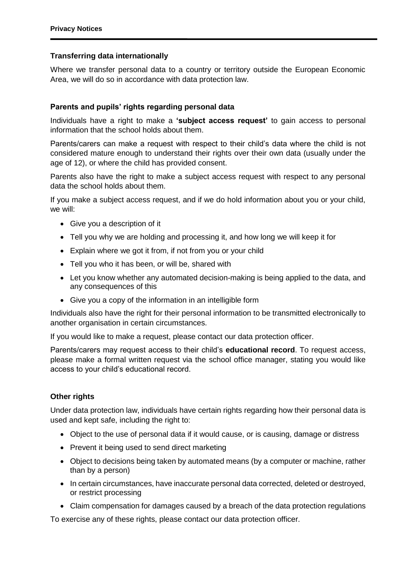#### **Transferring data internationally**

Where we transfer personal data to a country or territory outside the European Economic Area, we will do so in accordance with data protection law.

#### **Parents and pupils' rights regarding personal data**

Individuals have a right to make a **'subject access request'** to gain access to personal information that the school holds about them.

Parents/carers can make a request with respect to their child's data where the child is not considered mature enough to understand their rights over their own data (usually under the age of 12), or where the child has provided consent.

Parents also have the right to make a subject access request with respect to any personal data the school holds about them.

If you make a subject access request, and if we do hold information about you or your child, we will:

- Give you a description of it
- Tell you why we are holding and processing it, and how long we will keep it for
- Explain where we got it from, if not from you or your child
- Tell you who it has been, or will be, shared with
- Let you know whether any automated decision-making is being applied to the data, and any consequences of this
- Give you a copy of the information in an intelligible form

Individuals also have the right for their personal information to be transmitted electronically to another organisation in certain circumstances.

If you would like to make a request, please contact our data protection officer.

Parents/carers may request access to their child's **educational record**. To request access, please make a formal written request via the school office manager, stating you would like access to your child's educational record.

## **Other rights**

Under data protection law, individuals have certain rights regarding how their personal data is used and kept safe, including the right to:

- Object to the use of personal data if it would cause, or is causing, damage or distress
- Prevent it being used to send direct marketing
- Object to decisions being taken by automated means (by a computer or machine, rather than by a person)
- In certain circumstances, have inaccurate personal data corrected, deleted or destroyed, or restrict processing
- Claim compensation for damages caused by a breach of the data protection regulations

To exercise any of these rights, please contact our data protection officer.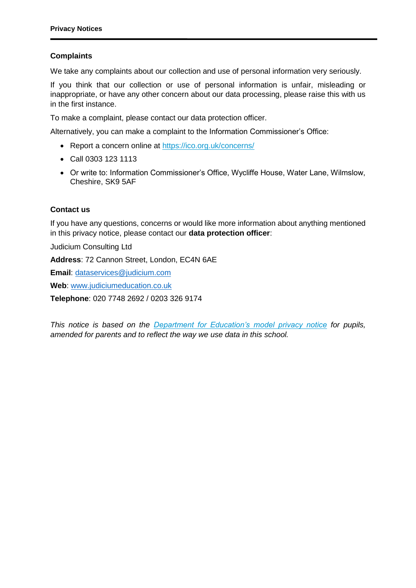# **Complaints**

We take any complaints about our collection and use of personal information very seriously.

If you think that our collection or use of personal information is unfair, misleading or inappropriate, or have any other concern about our data processing, please raise this with us in the first instance.

To make a complaint, please contact our data protection officer.

Alternatively, you can make a complaint to the Information Commissioner's Office:

- Report a concern online at<https://ico.org.uk/concerns/>
- Call 0303 123 1113
- Or write to: Information Commissioner's Office, Wycliffe House, Water Lane, Wilmslow, Cheshire, SK9 5AF

## **Contact us**

If you have any questions, concerns or would like more information about anything mentioned in this privacy notice, please contact our **data protection officer**:

Judicium Consulting Ltd

**Address**: 72 Cannon Street, London, EC4N 6AE

**Email**: [dataservices@judicium.com](mailto:dataservices@judicium.com)

**Web**: [www.judiciumeducation.co.uk](http://www.judiciumeducation.co.uk/)

**Telephone**: 020 7748 2692 / 0203 326 9174

*This notice is based on the [Department for Education's model privacy notice](https://www.gov.uk/government/publications/data-protection-and-privacy-privacy-notices) for pupils, amended for parents and to reflect the way we use data in this school.*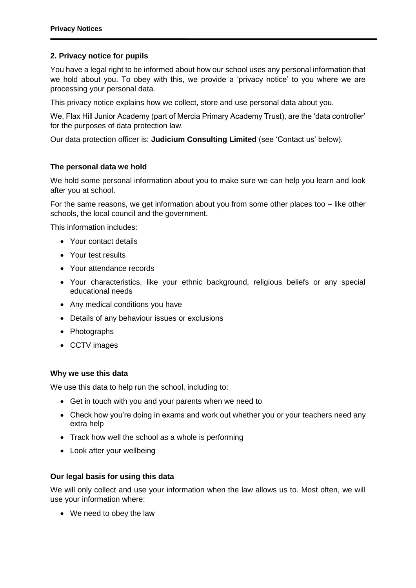## **2. Privacy notice for pupils**

You have a legal right to be informed about how our school uses any personal information that we hold about you. To obey with this, we provide a 'privacy notice' to you where we are processing your personal data.

This privacy notice explains how we collect, store and use personal data about you.

We, Flax Hill Junior Academy (part of Mercia Primary Academy Trust), are the 'data controller' for the purposes of data protection law.

Our data protection officer is: **Judicium Consulting Limited** (see 'Contact us' below).

## **The personal data we hold**

We hold some personal information about you to make sure we can help you learn and look after you at school.

For the same reasons, we get information about you from some other places too – like other schools, the local council and the government.

This information includes:

- Your contact details
- Your test results
- Your attendance records
- Your characteristics, like your ethnic background, religious beliefs or any special educational needs
- Any medical conditions you have
- Details of any behaviour issues or exclusions
- Photographs
- CCTV images

#### **Why we use this data**

We use this data to help run the school, including to:

- Get in touch with you and your parents when we need to
- Check how you're doing in exams and work out whether you or your teachers need any extra help
- Track how well the school as a whole is performing
- Look after your wellbeing

#### **Our legal basis for using this data**

We will only collect and use your information when the law allows us to. Most often, we will use your information where:

We need to obey the law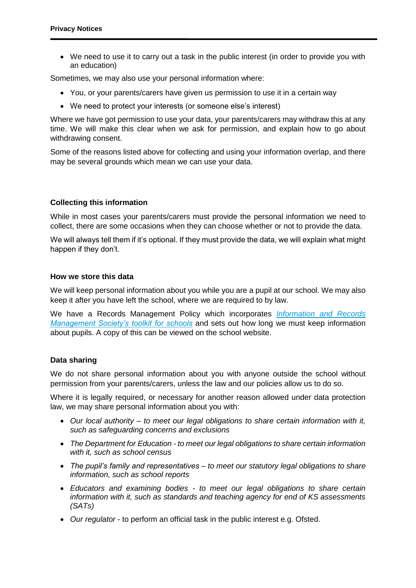We need to use it to carry out a task in the public interest (in order to provide you with an education)

Sometimes, we may also use your personal information where:

- You, or your parents/carers have given us permission to use it in a certain way
- We need to protect your interests (or someone else's interest)

Where we have got permission to use your data, your parents/carers may withdraw this at any time. We will make this clear when we ask for permission, and explain how to go about withdrawing consent.

Some of the reasons listed above for collecting and using your information overlap, and there may be several grounds which mean we can use your data.

#### **Collecting this information**

While in most cases your parents/carers must provide the personal information we need to collect, there are some occasions when they can choose whether or not to provide the data.

We will always tell them if it's optional. If they must provide the data, we will explain what might happen if they don't.

#### **How we store this data**

We will keep personal information about you while you are a pupil at our school. We may also keep it after you have left the school, where we are required to by law.

We have a Records Management Policy which incorporates *[Information and Records](http://irms.org.uk/?page=schoolstoolkit&terms=%22toolkit+and+schools%22)  [Management Society's toolkit for schools](http://irms.org.uk/?page=schoolstoolkit&terms=%22toolkit+and+schools%22)* and sets out how long we must keep information about pupils. A copy of this can be viewed on the school website.

#### **Data sharing**

We do not share personal information about you with anyone outside the school without permission from your parents/carers, unless the law and our policies allow us to do so.

Where it is legally required, or necessary for another reason allowed under data protection law, we may share personal information about you with:

- *Our local authority – to meet our legal obligations to share certain information with it, such as safeguarding concerns and exclusions*
- *The Department for Education - to meet our legal obligations to share certain information with it, such as school census*
- *The pupil's family and representatives – to meet our statutory legal obligations to share information, such as school reports*
- *Educators and examining bodies - to meet our legal obligations to share certain information with it, such as standards and teaching agency for end of KS assessments (SATs)*
- *Our regulator*  to perform an official task in the public interest e.g. Ofsted.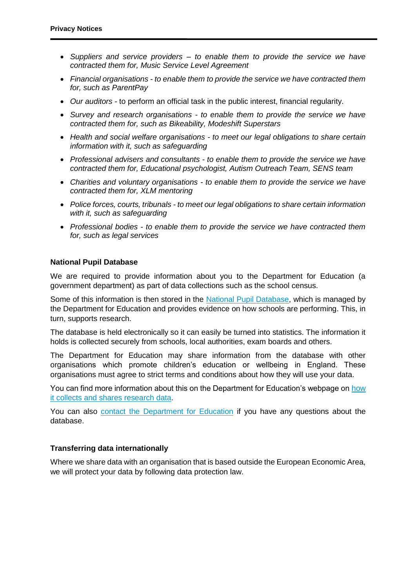- *Suppliers and service providers – to enable them to provide the service we have contracted them for, Music Service Level Agreement*
- *Financial organisations - to enable them to provide the service we have contracted them for, such as ParentPay*
- *Our auditors -* to perform an official task in the public interest, financial regularity.
- *Survey and research organisations - to enable them to provide the service we have contracted them for, such as Bikeability, Modeshift Superstars*
- *Health and social welfare organisations - to meet our legal obligations to share certain information with it, such as safeguarding*
- *Professional advisers and consultants - to enable them to provide the service we have contracted them for, Educational psychologist, Autism Outreach Team, SENS team*
- *Charities and voluntary organisations - to enable them to provide the service we have contracted them for, XLM mentoring*
- *Police forces, courts, tribunals - to meet our legal obligations to share certain information with it, such as safeguarding*
- *Professional bodies - to enable them to provide the service we have contracted them for, such as legal services*

#### **National Pupil Database**

We are required to provide information about you to the Department for Education (a government department) as part of data collections such as the school census.

Some of this information is then stored in the [National Pupil Database,](https://www.gov.uk/government/publications/national-pupil-database-user-guide-and-supporting-information) which is managed by the Department for Education and provides evidence on how schools are performing. This, in turn, supports research.

The database is held electronically so it can easily be turned into statistics. The information it holds is collected securely from schools, local authorities, exam boards and others.

The Department for Education may share information from the database with other organisations which promote children's education or wellbeing in England. These organisations must agree to strict terms and conditions about how they will use your data.

You can find more information about this on the Department for Education's webpage on how [it collects and shares research data.](https://www.gov.uk/data-protection-how-we-collect-and-share-research-data)

You can also [contact the Department for Education](https://www.gov.uk/contact-dfe) if you have any questions about the database.

## **Transferring data internationally**

Where we share data with an organisation that is based outside the European Economic Area, we will protect your data by following data protection law.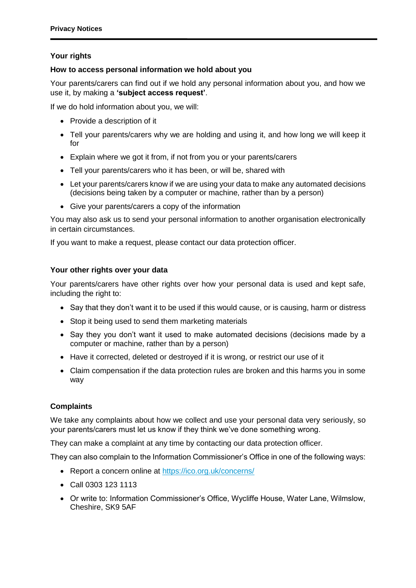# **Your rights**

# **How to access personal information we hold about you**

Your parents/carers can find out if we hold any personal information about you, and how we use it, by making a **'subject access request'**.

If we do hold information about you, we will:

- Provide a description of it
- Tell your parents/carers why we are holding and using it, and how long we will keep it for
- Explain where we got it from, if not from you or your parents/carers
- Tell your parents/carers who it has been, or will be, shared with
- Let your parents/carers know if we are using your data to make any automated decisions (decisions being taken by a computer or machine, rather than by a person)
- Give your parents/carers a copy of the information

You may also ask us to send your personal information to another organisation electronically in certain circumstances.

If you want to make a request, please contact our data protection officer.

# **Your other rights over your data**

Your parents/carers have other rights over how your personal data is used and kept safe, including the right to:

- Say that they don't want it to be used if this would cause, or is causing, harm or distress
- Stop it being used to send them marketing materials
- Say they you don't want it used to make automated decisions (decisions made by a computer or machine, rather than by a person)
- Have it corrected, deleted or destroyed if it is wrong, or restrict our use of it
- Claim compensation if the data protection rules are broken and this harms you in some way

# **Complaints**

We take any complaints about how we collect and use your personal data very seriously, so your parents/carers must let us know if they think we've done something wrong.

They can make a complaint at any time by contacting our data protection officer.

They can also complain to the Information Commissioner's Office in one of the following ways:

- Report a concern online at<https://ico.org.uk/concerns/>
- Call 0303 123 1113
- Or write to: Information Commissioner's Office, Wycliffe House, Water Lane, Wilmslow, Cheshire, SK9 5AF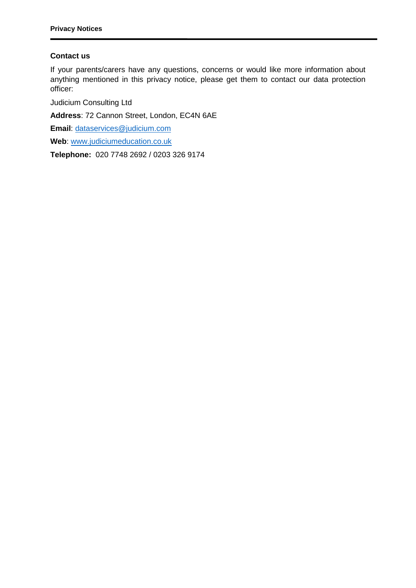## **Contact us**

If your parents/carers have any questions, concerns or would like more information about anything mentioned in this privacy notice, please get them to contact our data protection officer:

Judicium Consulting Ltd

**Address**: 72 Cannon Street, London, EC4N 6AE

**Email**: [dataservices@judicium.com](mailto:dataservices@judicium.com)

**Web**: [www.judiciumeducation.co.uk](http://www.judiciumeducation.co.uk/)

**Telephone:** 020 7748 2692 / 0203 326 9174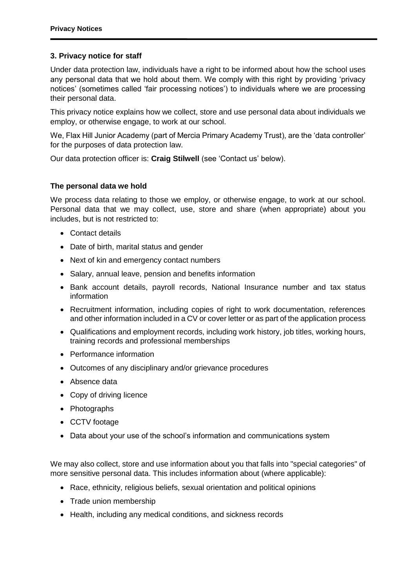## **3. Privacy notice for staff**

Under data protection law, individuals have a right to be informed about how the school uses any personal data that we hold about them. We comply with this right by providing 'privacy notices' (sometimes called 'fair processing notices') to individuals where we are processing their personal data.

This privacy notice explains how we collect, store and use personal data about individuals we employ, or otherwise engage, to work at our school.

We, Flax Hill Junior Academy (part of Mercia Primary Academy Trust), are the 'data controller' for the purposes of data protection law.

Our data protection officer is: **Craig Stilwell** (see 'Contact us' below).

#### **The personal data we hold**

We process data relating to those we employ, or otherwise engage, to work at our school. Personal data that we may collect, use, store and share (when appropriate) about you includes, but is not restricted to:

- Contact details
- Date of birth, marital status and gender
- Next of kin and emergency contact numbers
- Salary, annual leave, pension and benefits information
- Bank account details, payroll records, National Insurance number and tax status information
- Recruitment information, including copies of right to work documentation, references and other information included in a CV or cover letter or as part of the application process
- Qualifications and employment records, including work history, job titles, working hours, training records and professional memberships
- Performance information
- Outcomes of any disciplinary and/or grievance procedures
- Absence data
- Copy of driving licence
- Photographs
- CCTV footage
- Data about your use of the school's information and communications system

We may also collect, store and use information about you that falls into "special categories" of more sensitive personal data. This includes information about (where applicable):

- Race, ethnicity, religious beliefs, sexual orientation and political opinions
- Trade union membership
- Health, including any medical conditions, and sickness records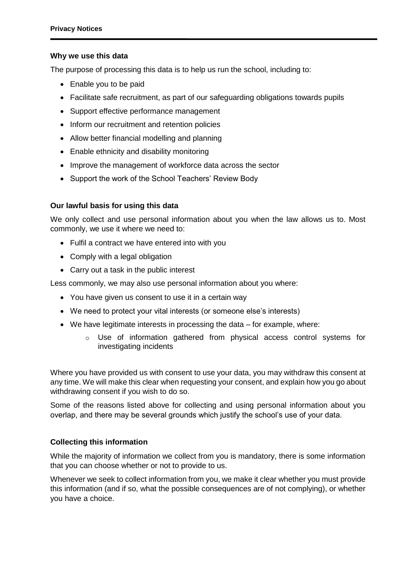#### **Why we use this data**

The purpose of processing this data is to help us run the school, including to:

- Enable you to be paid
- Facilitate safe recruitment, as part of our safeguarding obligations towards pupils
- Support effective performance management
- Inform our recruitment and retention policies
- Allow better financial modelling and planning
- Enable ethnicity and disability monitoring
- Improve the management of workforce data across the sector
- Support the work of the School Teachers' Review Body

## **Our lawful basis for using this data**

We only collect and use personal information about you when the law allows us to. Most commonly, we use it where we need to:

- Fulfil a contract we have entered into with you
- Comply with a legal obligation
- Carry out a task in the public interest

Less commonly, we may also use personal information about you where:

- You have given us consent to use it in a certain way
- We need to protect your vital interests (or someone else's interests)
- We have legitimate interests in processing the data for example, where:
	- o Use of information gathered from physical access control systems for investigating incidents

Where you have provided us with consent to use your data, you may withdraw this consent at any time. We will make this clear when requesting your consent, and explain how you go about withdrawing consent if you wish to do so.

Some of the reasons listed above for collecting and using personal information about you overlap, and there may be several grounds which justify the school's use of your data.

## **Collecting this information**

While the majority of information we collect from you is mandatory, there is some information that you can choose whether or not to provide to us.

Whenever we seek to collect information from you, we make it clear whether you must provide this information (and if so, what the possible consequences are of not complying), or whether you have a choice.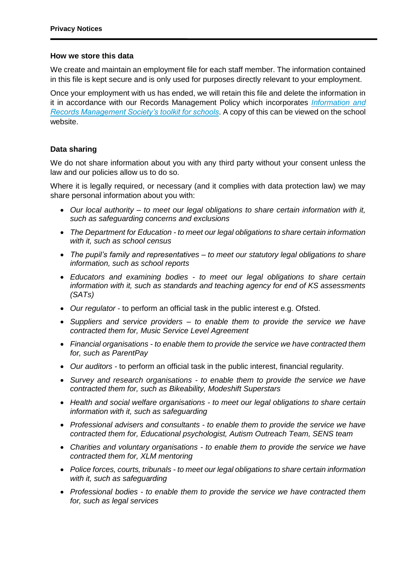#### **How we store this data**

We create and maintain an employment file for each staff member. The information contained in this file is kept secure and is only used for purposes directly relevant to your employment.

Once your employment with us has ended, we will retain this file and delete the information in it in accordance with our Records Management Policy which incorporates *[Information and](http://irms.org.uk/?page=schoolstoolkit&terms=%22toolkit+and+schools%22)  [Records Management Society's toolkit for schools](http://irms.org.uk/?page=schoolstoolkit&terms=%22toolkit+and+schools%22)*. A copy of this can be viewed on the school website.

## **Data sharing**

We do not share information about you with any third party without your consent unless the law and our policies allow us to do so.

Where it is legally required, or necessary (and it complies with data protection law) we may share personal information about you with:

- *Our local authority – to meet our legal obligations to share certain information with it, such as safeguarding concerns and exclusions*
- *The Department for Education - to meet our legal obligations to share certain information with it, such as school census*
- *The pupil's family and representatives – to meet our statutory legal obligations to share information, such as school reports*
- *Educators and examining bodies - to meet our legal obligations to share certain information with it, such as standards and teaching agency for end of KS assessments (SATs)*
- *Our regulator*  to perform an official task in the public interest e.g. Ofsted.
- *Suppliers and service providers – to enable them to provide the service we have contracted them for, Music Service Level Agreement*
- *Financial organisations - to enable them to provide the service we have contracted them for, such as ParentPay*
- *Our auditors -* to perform an official task in the public interest, financial regularity.
- *Survey and research organisations - to enable them to provide the service we have contracted them for, such as Bikeability, Modeshift Superstars*
- *Health and social welfare organisations - to meet our legal obligations to share certain information with it, such as safeguarding*
- *Professional advisers and consultants - to enable them to provide the service we have contracted them for, Educational psychologist, Autism Outreach Team, SENS team*
- *Charities and voluntary organisations - to enable them to provide the service we have contracted them for, XLM mentoring*
- *Police forces, courts, tribunals - to meet our legal obligations to share certain information with it, such as safeguarding*
- *Professional bodies - to enable them to provide the service we have contracted them for, such as legal services*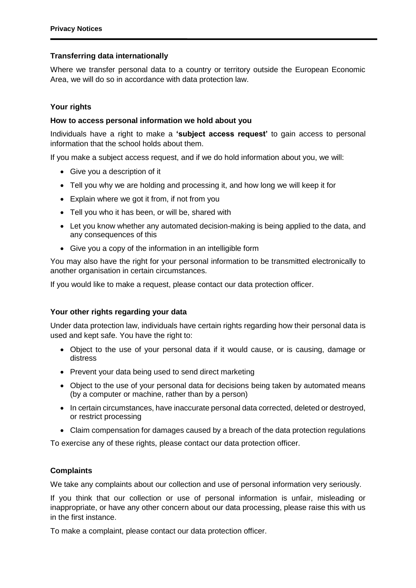# **Transferring data internationally**

Where we transfer personal data to a country or territory outside the European Economic Area, we will do so in accordance with data protection law.

## **Your rights**

## **How to access personal information we hold about you**

Individuals have a right to make a **'subject access request'** to gain access to personal information that the school holds about them.

If you make a subject access request, and if we do hold information about you, we will:

- Give you a description of it
- Tell you why we are holding and processing it, and how long we will keep it for
- Explain where we got it from, if not from you
- Tell you who it has been, or will be, shared with
- Let you know whether any automated decision-making is being applied to the data, and any consequences of this
- Give you a copy of the information in an intelligible form

You may also have the right for your personal information to be transmitted electronically to another organisation in certain circumstances.

If you would like to make a request, please contact our data protection officer.

## **Your other rights regarding your data**

Under data protection law, individuals have certain rights regarding how their personal data is used and kept safe. You have the right to:

- Object to the use of your personal data if it would cause, or is causing, damage or distress
- Prevent your data being used to send direct marketing
- Object to the use of your personal data for decisions being taken by automated means (by a computer or machine, rather than by a person)
- In certain circumstances, have inaccurate personal data corrected, deleted or destroyed, or restrict processing
- Claim compensation for damages caused by a breach of the data protection regulations

To exercise any of these rights, please contact our data protection officer.

## **Complaints**

We take any complaints about our collection and use of personal information very seriously.

If you think that our collection or use of personal information is unfair, misleading or inappropriate, or have any other concern about our data processing, please raise this with us in the first instance.

To make a complaint, please contact our data protection officer.